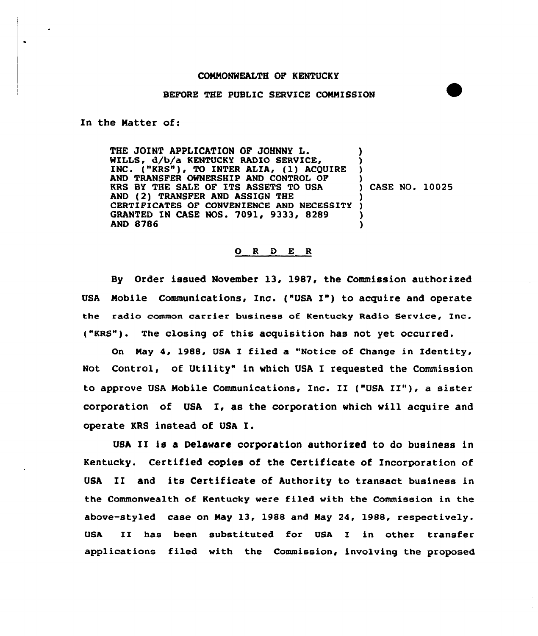## CONNONNEALTH OP KENTUCKY

## BEFORE THE PUBLIC SERUICE COMMISSION

In the Natter of:

 $\sim$  $\bullet$ 

> THE JOINT APPLICATION OF JOHNNY L. WILLS, d/b/a KENTUCKY RADIO SERVICE, INC. ("KRS"), TO INTER ALIA, (1) ACQUIRE AND TRANSFER OWNERSHIP AND CONTROL OF KRS BY THE SALE OF ITS ASSETS TO USA AND (2) TRANSFER AND ASSIGN THE CERTIFICATES OF CONVENIENCE AND NECESSITY ) GRANTED EN CASE NOS. 7091, 9333, 8289 AND 8786 ) ) ) ) ) CASE NO. 10025 ) ) )

## 0 <sup>R</sup> <sup>D</sup> E <sup>R</sup>

By Order issued November l3, 1987, the Commission authorized USA Nobile Communications, Inc. ("USA I") to acquire and operate the radio common carrier business of Kentucky Radio Service, Inc. ("KRs"). The closing of this acquisition has not yet occurred.

On Nay 4, 1988, USA I filed a "Notice of Change in Identity, Not Control, of Utility" in which USA I requested the Commission to approve USA Mobile Communications, Inc. II ("USA II"), <sup>a</sup> sister corporation of USA I, as the corporation vhich vill acquire and operate KRS instead of USA I.

USA II is a Delavare corporation authorized to do business in Kentucky. Certified copies of the Certificate of Incorporation of USA II and its Certificate of Authority to transact business in the Commonwealth of Kentucky were filed with the Commission in the above-styled case on Nay 13, 1988 and Nay 24, 1988, respectively. USA II has been substituted for USA I in other transfer applications filed with the Commission, involving the proposed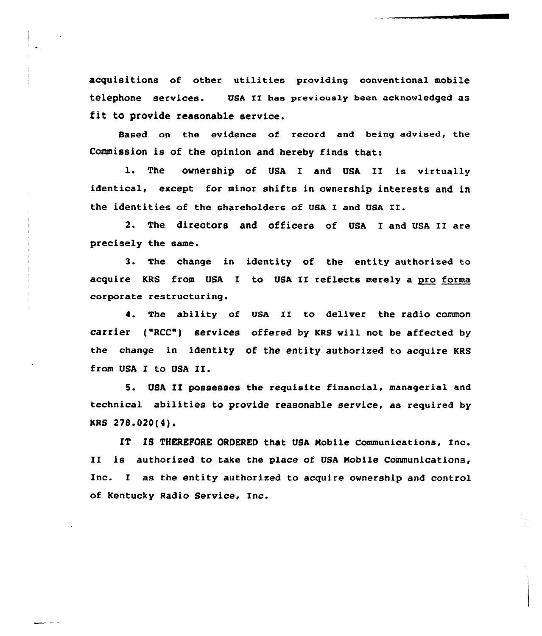acquisitions of other utilities providing conventional mobile telephone services. UsA II has previously been acknowledged as fit to provide reasonable service.

Based on the evidence of record and being advised, the Commission is of the opinion and hereby finds that:

l. The ownership of USA <sup>I</sup> and USA II is virtually identical, except for minor shifts in ownership interests and in the identities of the shareholders of USA I and USA XI.

2. The directors and officers of USA I and USA II are precisely the same.

3. The change in identity of the entity authorized to acquire KRS from USA I to USA II reflects merely a pro forma corporate restructuring.

4. The ability of USA II to deliver the radio common carrier ("RCC") services offered by KRS will not be affected by the change in identity of the entity authorized to acquire KRs from USA I to USA II.

5. USA II possesses the requisite financial, managerial and technical abilities to provide reasonable service, as required by  $KRS$  278.020(4).

IT IS THEREFORE ORDERED that USA Mobile Communications, Inc. II is authorized to take the place of USA Mobile Communications, Inc. I as the entity authorized to acquire ownership and control of Kentucky Radio Service, Inc.